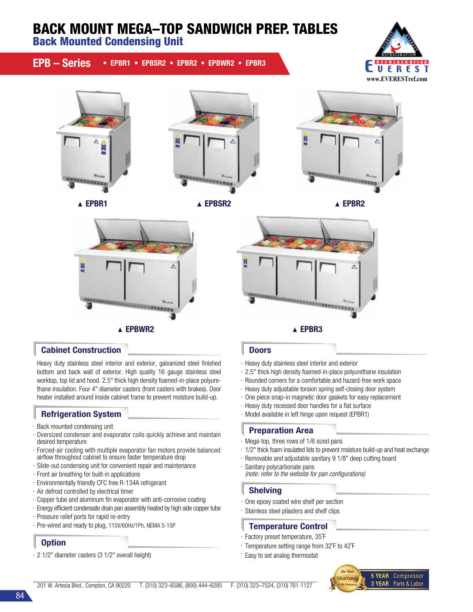# BACK MOUNT MEGA–TOP SANDWICH PREP. TABLES

Back Mounted Condensing Unit

# EPB – Series • EPBR1 • EPBSR2 • EPBR2 • EPBWR2 • EPBR3













### **Cabinet Construction Doors** Doors

Heavy duty stainless steel interior and exterior, galvanized steel finished bottom and back wall of exterior. High quality 16 gauge stainless steel worktop, top lid and hood. 2.5" thick high density foamed-in-place polyurethane insulation. Four 4" diameter casters (front casters with brakes). Door heater installed around inside cabinet frame to prevent moisture build-up.

# Refrigeration System

- · Back mounted condensing unit
- · Oversized condenser and evaporator coils quickly achieve and maintain desired temperature
- · Forced-air cooling with multiple evaporator fan motors provide balanced airflow throughout cabinet to ensure faster temperature drop
- · Slide-out condensing unit for convenient repair and maintenance
- · Front air breathing for built-in applications
- · Environmentally friendly CFC free R-134A refrigerant
- · Air defrost controlled by electrical timer
- · Copper tube and aluminum fin evaporator with anti-corrosive coating
- · Energy efficient condensate drain pan assembly heated by high side copper tube
- · Pressure relief ports for rapid re-entry
- · Pre-wired and ready to plug, 115V/60Hz/1Ph, NEMA 5-15P

# **Option**

· 2 1/2" diameter casters (3 1/2" overall height)

Δ <u>isanggungan</u> A EPBWR2 A EPBR3

- · Heavy duty stainless steel interior and exterior
- · 2.5" thick high density foamed-in-place polyurethane insulation
- · Rounded corners for a comfortable and hazard-free work space
- · Heavy duty adjustable torsion spring self-closing door system
- · One piece snap-in magnetic door gaskets for easy replacement
- · Heavy duty recessed door handles for a flat surface
	- · Model available in left hinge upon request (EPBR1)

# Preparation Area

- · Mega-top, three rows of 1/6 sized pans
- · 1/2" thick foam insulated lids to prevent moisture build-up and heat exchange
- · Removable and adjustable sanitary 9 1/8" deep cutting board
- · Sanitary polycarbonate pans *(note: refer to the website for pan configurations)*

# Shelving

- · One epoxy coated wire shelf per section
- · Stainless steel pilasters and shelf clips

# Temperature Control

· Factory preset temperature, 35˚F

· Easy to set analog thermostat

· Temperature setting range from 32˚F to 42˚F